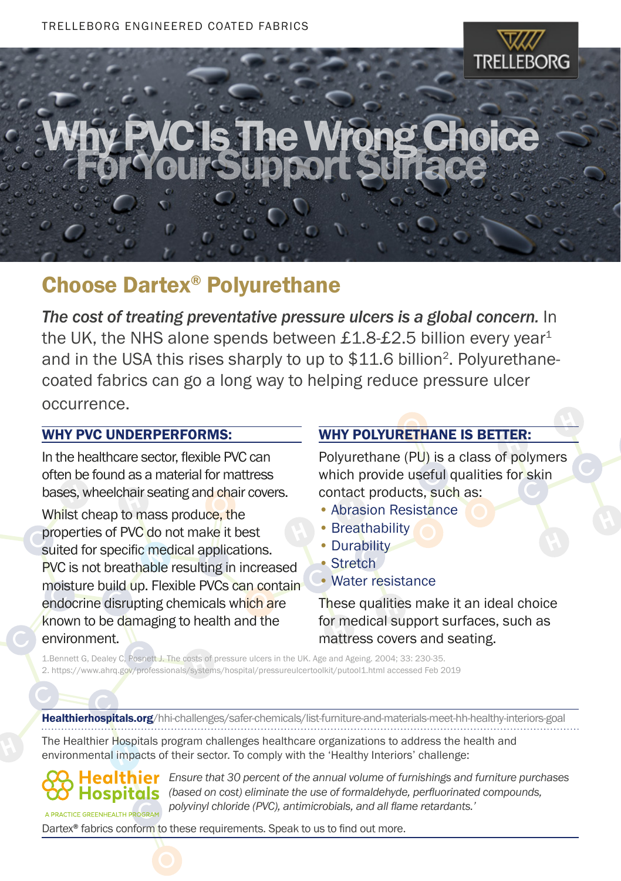

H

# C'Is The Wrong Choice

#### Choose Dartex® Polyurethane

*The cost of treating preventative pressure ulcers is a global concern.* In the UK, the NHS alone spends between £1.8-£2.5 billion every year<sup>1</sup> and in the USA this rises sharply to up to \$11.6 billion<sup>2</sup>. Polyurethanecoated fabrics can go a long way to helping reduce pressure ulcer occurrence.

#### WHY PVC UNDERPERFORMS:

bases, wheelchair seating and chair covers. In the healthcare sector, flexible PVC can often be found as a material for mattress

molstare band up. Trexible P vus can coma<br>endocrine disrupting chemicals which are sulted for specific medical applications.<br>PVC is not breathable resulting in increased **properties of PVC do not make it best**<br>cuited for specific modical applications suited for specific medical applications.<br>RVC is not breathable requiting in increa bases, wheelchall seating and shall moisture build up. Flexible PVCs can contain known to be damaging to health and the environment.

### WHY POLYURETHANE IS BETTER:

which provide useful qualities for skin **WHI POLIORETHANE IS BETTER.**<br>Polyurethane (PU) is a class of polymers contact products, such as:

- Abrasion Resistance<br>• Breathability
- Breathability
- Durability
- Stretch
- C Water resistance

for medical support surfaces, such as<br>mattress covers and sosting mattress covers and seating. These qualities make it an ideal choice

C 1.Bennett G, Dealey C, Posnett J. The costs of pressure ulcers in the UK. Age and Ageing. 2004; 33: 230-35. 1.Bennett G, Dealey C, Posnett J. The costs of pressure ulcers in the UK. Age and Ageing. 2004; 33: 230-35.<br>2. https://www.ahrq.gov/professionals/systems/hospital/pressureulcertoolkit/putool1.html accessed Feb 2019

C Healthierhospitals.org/hhi-challenges/safer-chemicals/list-furniture-and-materials-meet-hh-healthy-interiors-goal The Healthier Hospitals program challenges healthcare organizations to address the health and

environmental impacts of their sector. To comply with the 'Healthy Interiors' challenge:

**Hospitals** OGRAI

*Ensure that 30 percent of the annual volume of furnishings and furniture purchases (based on cost) eliminate the use of formaldehyde, perfluorinated compounds, polyvinyl chloride (PVC), antimicrobials, and all flame retardants.'*

Dartex<sup>®</sup> fabrics conform to these requirements. Speak to us to find out more.